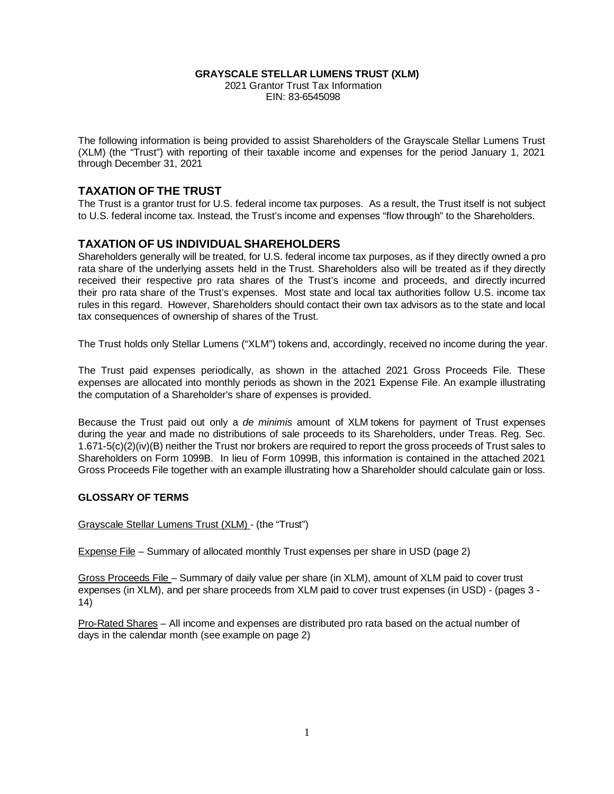#### **GRAYSCALE STELLAR LUMENS TRUST (XLM)**

2021 Grantor Trust Tax Information EIN: 83-6545098

The following information is being provided to assist Shareholders of the Grayscale Stellar Lumens Trust (XLM) (the "Trust") with reporting of their taxable income and expenses for the period January 1, 2021 through December 31, 2021

### **TAXATION OF THE TRUST**

The Trust is a grantor trust for U.S. federal income tax purposes. As a result, the Trust itself is not subject to U.S. federal income tax. Instead, the Trust's income and expenses "flow through" to the Shareholders.

### **TAXATION OF US INDIVIDUAL SHAREHOLDERS**

Shareholders generally will be treated, for U.S. federal income tax purposes, as if they directly owned a pro rata share of the underlying assets held in the Trust. Shareholders also will be treated as if they directly received their respective pro rata shares of the Trust's income and proceeds, and directly incurred their pro rata share of the Trust's expenses. Most state and local tax authorities follow U.S. income tax rules in this regard. However, Shareholders should contact their own tax advisors as to the state and local tax consequences of ownership of shares of the Trust.

The Trust holds only Stellar Lumens ("XLM") tokens and, accordingly, received no income during the year.

The Trust paid expenses periodically, as shown in the attached 2021 Gross Proceeds File. These expenses are allocated into monthly periods as shown in the 2021 Expense File. An example illustrating the computation of a Shareholder's share of expenses is provided.

Because the Trust paid out only a *de minimis* amount of XLM tokens for payment of Trust expenses during the year and made no distributions of sale proceeds to its Shareholders, under Treas. Reg. Sec. 1.671-5(c)(2)(iv)(B) neither the Trust nor brokers are required to report the gross proceeds of Trust sales to Shareholders on Form 1099B. In lieu of Form 1099B, this information is contained in the attached 2021 Gross Proceeds File together with an example illustrating how a Shareholder should calculate gain or loss.

#### **GLOSSARY OF TERMS**

Grayscale Stellar Lumens Trust (XLM) - (the "Trust")

Expense File – Summary of allocated monthly Trust expenses per share in USD (page 2)

Gross Proceeds File – Summary of daily value per share (in XLM), amount of XLM paid to cover trust expenses (in XLM), and per share proceeds from XLM paid to cover trust expenses (in USD) - (pages 3 - 14)

Pro-Rated Shares – All income and expenses are distributed pro rata based on the actual number of days in the calendar month (see example on page 2)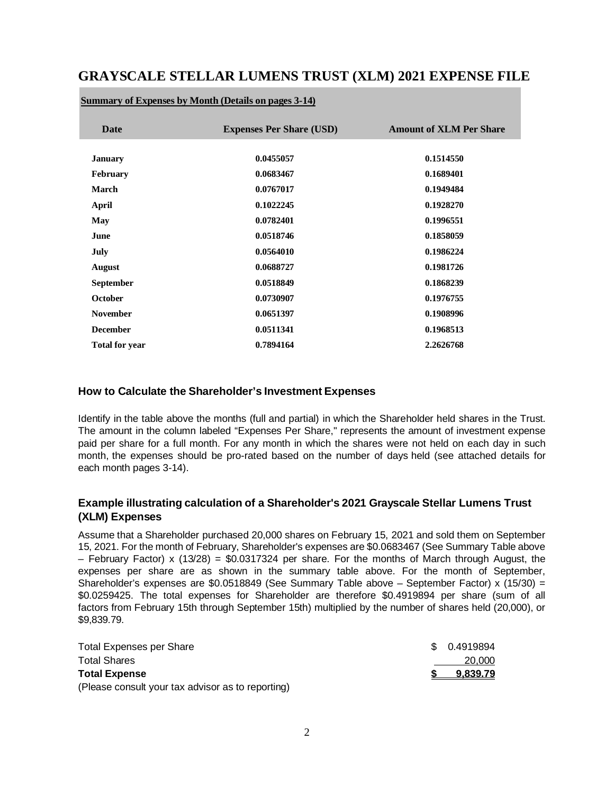# **GRAYSCALE STELLAR LUMENS TRUST (XLM) 2021 EXPENSE FILE**

| <b>Date</b>           | <b>Expenses Per Share (USD)</b> | <b>Amount of XLM Per Share</b> |
|-----------------------|---------------------------------|--------------------------------|
|                       |                                 |                                |
| <b>January</b>        | 0.0455057                       | 0.1514550                      |
| <b>February</b>       | 0.0683467                       | 0.1689401                      |
| <b>March</b>          | 0.0767017                       | 0.1949484                      |
| April                 | 0.1022245                       | 0.1928270                      |
| May                   | 0.0782401                       | 0.1996551                      |
| June                  | 0.0518746                       | 0.1858059                      |
| July                  | 0.0564010                       | 0.1986224                      |
| <b>August</b>         | 0.0688727                       | 0.1981726                      |
| <b>September</b>      | 0.0518849                       | 0.1868239                      |
| <b>October</b>        | 0.0730907                       | 0.1976755                      |
| <b>November</b>       | 0.0651397                       | 0.1908996                      |
| <b>December</b>       | 0.0511341                       | 0.1968513                      |
| <b>Total for year</b> | 0.7894164                       | 2.2626768                      |

#### **Summary of Expenses by Month (Details on pages 3-14)**

#### **How to Calculate the Shareholder's Investment Expenses**

Identify in the table above the months (full and partial) in which the Shareholder held shares in the Trust. The amount in the column labeled "Expenses Per Share," represents the amount of investment expense paid per share for a full month. For any month in which the shares were not held on each day in such month, the expenses should be pro-rated based on the number of days held (see attached details for each month pages 3-14).

### **Example illustrating calculation of a Shareholder's 2021 Grayscale Stellar Lumens Trust (XLM) Expenses**

Assume that a Shareholder purchased 20,000 shares on February 15, 2021 and sold them on September 15, 2021. For the month of February, Shareholder's expenses are \$0.0683467 (See Summary Table above – February Factor) x (13/28) = \$0.0317324 per share. For the months of March through August, the expenses per share are as shown in the summary table above. For the month of September, Shareholder's expenses are \$0.0518849 (See Summary Table above – September Factor) x (15/30) = \$0.0259425. The total expenses for Shareholder are therefore \$0.4919894 per share (sum of all factors from February 15th through September 15th) multiplied by the number of shares held (20,000), or \$9,839.79.

| Total Expenses per Share                          | \$ 0.4919894 |
|---------------------------------------------------|--------------|
| <b>Total Shares</b>                               | 20,000       |
| <b>Total Expense</b>                              | 9.839.79     |
| (Please consult your tax advisor as to reporting) |              |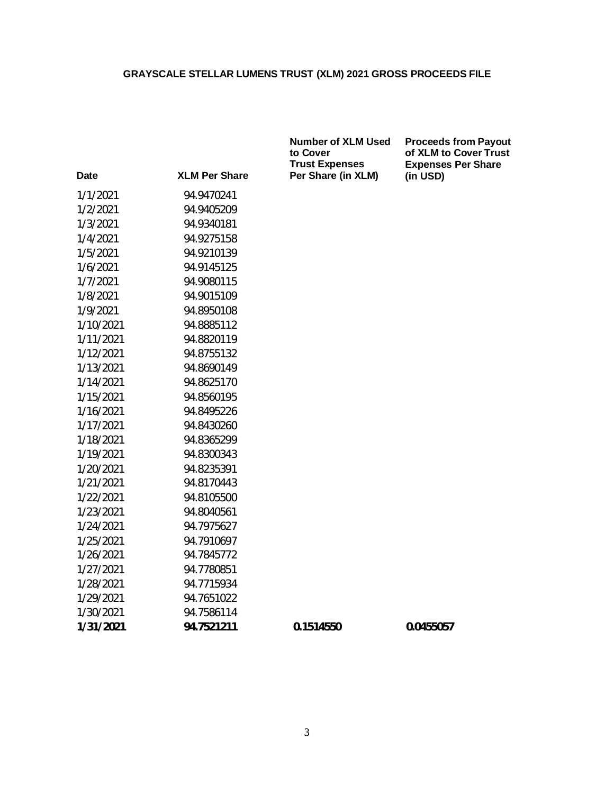| <b>XLM Per Share</b> | <b>Trust Expenses</b><br>Per Share (in XLM) | <b>Expenses</b><br>(in USD) |
|----------------------|---------------------------------------------|-----------------------------|
| 94.9470241           |                                             |                             |
| 94.9405209           |                                             |                             |
| 94.9340181           |                                             |                             |
| 94.9275158           |                                             |                             |
| 94.9210139           |                                             |                             |
| 94.9145125           |                                             |                             |
| 94.9080115           |                                             |                             |
| 94.9015109           |                                             |                             |
| 94.8950108           |                                             |                             |
| 94.8885112           |                                             |                             |
| 94.8820119           |                                             |                             |
| 94.8755132           |                                             |                             |
| 94.8690149           |                                             |                             |
| 94.8625170           |                                             |                             |
| 94.8560195           |                                             |                             |
| 94.8495226           |                                             |                             |
| 94.8430260           |                                             |                             |
| 94.8365299           |                                             |                             |
| 94.8300343           |                                             |                             |
| 94.8235391           |                                             |                             |
| 94.8170443           |                                             |                             |
| 94.8105500           |                                             |                             |
| 94.8040561           |                                             |                             |
| 94.7975627           |                                             |                             |
| 94.7910697           |                                             |                             |
| 94.7845772           |                                             |                             |
| 94.7780851           |                                             |                             |
| 94.7715934           |                                             |                             |
| 94.7651022           |                                             |                             |
| 94.7586114           |                                             |                             |
| 94.7521211           | 0.1514550                                   | 0.0455057                   |
|                      |                                             |                             |

**Number of XLM Used to Cover Trust Expenses Per Share (in XLM)**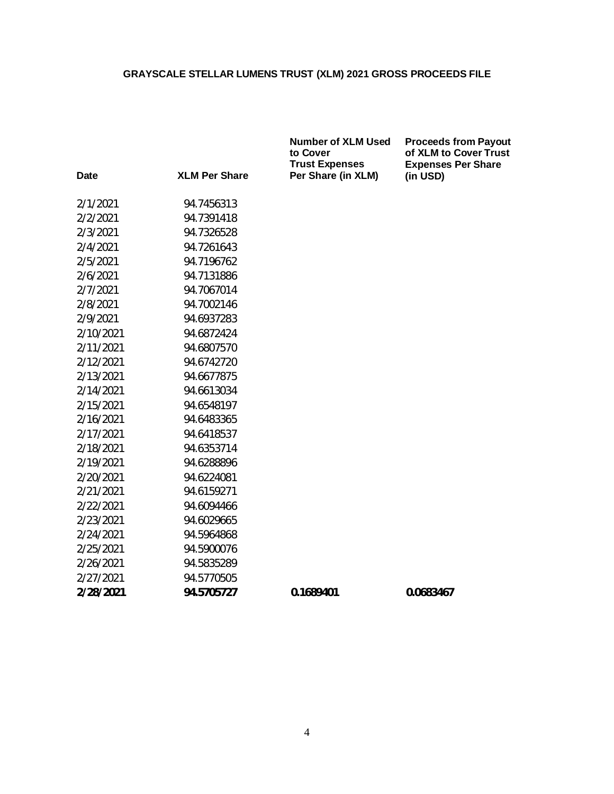| Date      | <b>XLM Per Share</b> | <b>Number of XLM Used</b><br>to Cover<br><b>Trust Expenses</b><br>Per Share (in XLM) | <b>Proceeds from Payout</b><br>of XLM to Cover Trust<br><b>Expenses Per Share</b><br>(in USD) |
|-----------|----------------------|--------------------------------------------------------------------------------------|-----------------------------------------------------------------------------------------------|
| 2/1/2021  | 94.7456313           |                                                                                      |                                                                                               |
| 2/2/2021  | 94.7391418           |                                                                                      |                                                                                               |
| 2/3/2021  | 94.7326528           |                                                                                      |                                                                                               |
| 2/4/2021  | 94.7261643           |                                                                                      |                                                                                               |
| 2/5/2021  | 94.7196762           |                                                                                      |                                                                                               |
| 2/6/2021  | 94.7131886           |                                                                                      |                                                                                               |
| 2/7/2021  | 94.7067014           |                                                                                      |                                                                                               |
| 2/8/2021  | 94.7002146           |                                                                                      |                                                                                               |
|           |                      |                                                                                      |                                                                                               |
| 2/9/2021  | 94.6937283           |                                                                                      |                                                                                               |
| 2/10/2021 | 94.6872424           |                                                                                      |                                                                                               |
| 2/11/2021 | 94.6807570           |                                                                                      |                                                                                               |
| 2/12/2021 | 94.6742720           |                                                                                      |                                                                                               |
| 2/13/2021 | 94.6677875           |                                                                                      |                                                                                               |
| 2/14/2021 | 94.6613034           |                                                                                      |                                                                                               |
| 2/15/2021 | 94.6548197           |                                                                                      |                                                                                               |
| 2/16/2021 | 94.6483365           |                                                                                      |                                                                                               |
| 2/17/2021 | 94.6418537           |                                                                                      |                                                                                               |
| 2/18/2021 | 94.6353714           |                                                                                      |                                                                                               |
| 2/19/2021 | 94.6288896           |                                                                                      |                                                                                               |
| 2/20/2021 | 94.6224081           |                                                                                      |                                                                                               |
| 2/21/2021 | 94.6159271           |                                                                                      |                                                                                               |
| 2/22/2021 | 94.6094466           |                                                                                      |                                                                                               |
| 2/23/2021 | 94.6029665           |                                                                                      |                                                                                               |
| 2/24/2021 | 94.5964868           |                                                                                      |                                                                                               |
| 2/25/2021 | 94.5900076           |                                                                                      |                                                                                               |
| 2/26/2021 | 94.5835289           |                                                                                      |                                                                                               |
| 2/27/2021 | 94.5770505           |                                                                                      |                                                                                               |
| 2/28/2021 | 94.5705727           | 0.1689401                                                                            | 0.0683467                                                                                     |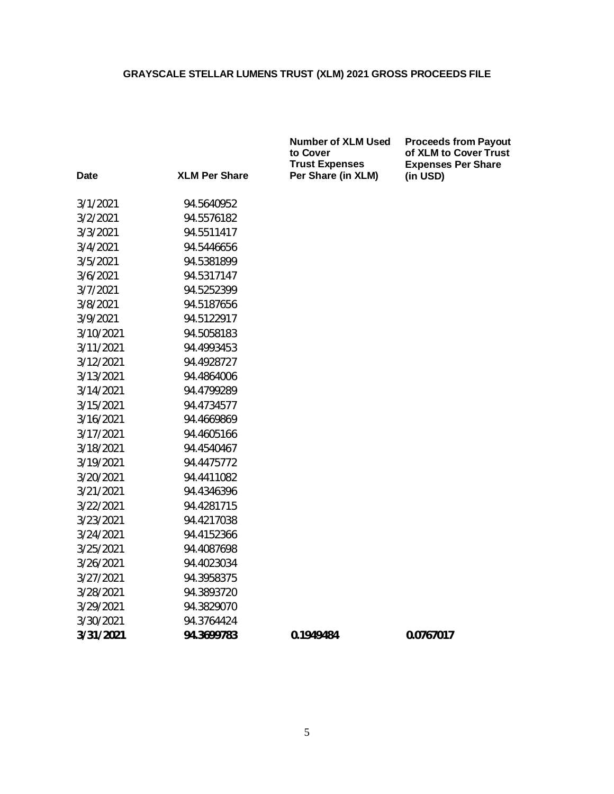**Number of XLM Used**

| Date      | <b>XLM Per Share</b> | to Cover<br><b>Trust Expenses</b><br>Per Share (in XLM) | of XLM to<br><b>Expenses</b><br>(in USD) |
|-----------|----------------------|---------------------------------------------------------|------------------------------------------|
| 3/1/2021  | 94.5640952           |                                                         |                                          |
| 3/2/2021  | 94.5576182           |                                                         |                                          |
| 3/3/2021  | 94.5511417           |                                                         |                                          |
| 3/4/2021  | 94.5446656           |                                                         |                                          |
| 3/5/2021  | 94.5381899           |                                                         |                                          |
| 3/6/2021  | 94.5317147           |                                                         |                                          |
| 3/7/2021  | 94.5252399           |                                                         |                                          |
| 3/8/2021  | 94.5187656           |                                                         |                                          |
| 3/9/2021  | 94.5122917           |                                                         |                                          |
| 3/10/2021 | 94.5058183           |                                                         |                                          |
| 3/11/2021 | 94.4993453           |                                                         |                                          |
| 3/12/2021 | 94.4928727           |                                                         |                                          |
| 3/13/2021 | 94.4864006           |                                                         |                                          |
| 3/14/2021 | 94.4799289           |                                                         |                                          |
| 3/15/2021 | 94.4734577           |                                                         |                                          |
| 3/16/2021 | 94.4669869           |                                                         |                                          |
| 3/17/2021 | 94.4605166           |                                                         |                                          |
| 3/18/2021 | 94.4540467           |                                                         |                                          |
| 3/19/2021 | 94.4475772           |                                                         |                                          |
| 3/20/2021 | 94.4411082           |                                                         |                                          |
| 3/21/2021 | 94.4346396           |                                                         |                                          |
| 3/22/2021 | 94.4281715           |                                                         |                                          |
| 3/23/2021 | 94.4217038           |                                                         |                                          |
| 3/24/2021 | 94.4152366           |                                                         |                                          |
| 3/25/2021 | 94.4087698           |                                                         |                                          |
| 3/26/2021 | 94.4023034           |                                                         |                                          |
| 3/27/2021 | 94.3958375           |                                                         |                                          |
| 3/28/2021 | 94.3893720           |                                                         |                                          |
| 3/29/2021 | 94.3829070           |                                                         |                                          |
| 3/30/2021 | 94.3764424           |                                                         |                                          |
| 3/31/2021 | 94.3699783           | 0.1949484                                               | 0.0767017                                |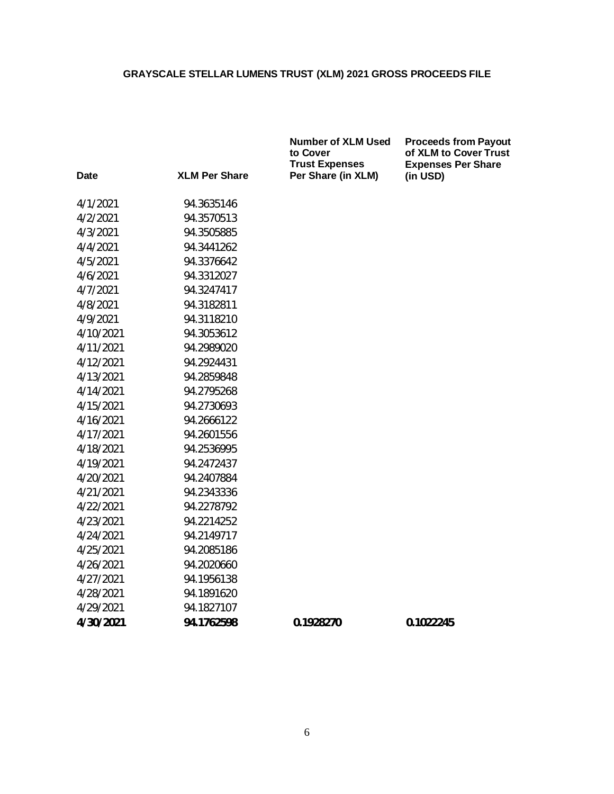**Number of XLM Used**

**Proceeds from Payout of XLM to Cover Trust Expenses Per Share**

| <b>Date</b> | <b>XLM Per Share</b> | to Cover<br><b>Trust Expenses</b><br>Per Share (in XLM) | of XLM to<br><b>Expenses</b><br>(in USD) |
|-------------|----------------------|---------------------------------------------------------|------------------------------------------|
| 4/1/2021    | 94.3635146           |                                                         |                                          |
| 4/2/2021    | 94.3570513           |                                                         |                                          |
| 4/3/2021    | 94.3505885           |                                                         |                                          |
| 4/4/2021    | 94.3441262           |                                                         |                                          |
| 4/5/2021    | 94.3376642           |                                                         |                                          |
| 4/6/2021    | 94.3312027           |                                                         |                                          |
| 4/7/2021    | 94.3247417           |                                                         |                                          |
| 4/8/2021    | 94.3182811           |                                                         |                                          |
| 4/9/2021    | 94.3118210           |                                                         |                                          |
| 4/10/2021   | 94.3053612           |                                                         |                                          |
| 4/11/2021   | 94.2989020           |                                                         |                                          |
| 4/12/2021   | 94.2924431           |                                                         |                                          |
| 4/13/2021   | 94.2859848           |                                                         |                                          |
| 4/14/2021   | 94.2795268           |                                                         |                                          |
| 4/15/2021   | 94.2730693           |                                                         |                                          |
| 4/16/2021   | 94.2666122           |                                                         |                                          |
| 4/17/2021   | 94.2601556           |                                                         |                                          |
| 4/18/2021   | 94.2536995           |                                                         |                                          |
| 4/19/2021   | 94.2472437           |                                                         |                                          |
| 4/20/2021   | 94.2407884           |                                                         |                                          |
| 4/21/2021   | 94.2343336           |                                                         |                                          |
| 4/22/2021   | 94.2278792           |                                                         |                                          |
| 4/23/2021   | 94.2214252           |                                                         |                                          |
| 4/24/2021   | 94.2149717           |                                                         |                                          |
| 4/25/2021   | 94.2085186           |                                                         |                                          |
| 4/26/2021   | 94.2020660           |                                                         |                                          |
| 4/27/2021   | 94.1956138           |                                                         |                                          |
| 4/28/2021   | 94.1891620           |                                                         |                                          |
| 4/29/2021   | 94.1827107           |                                                         |                                          |
| 4/30/2021   | 94.1762598           | 0.1928270                                               | 0.1022245                                |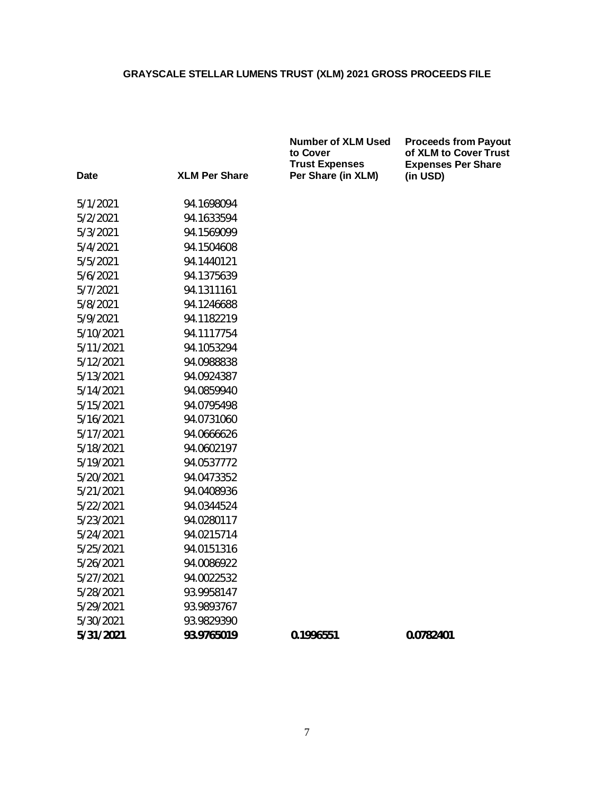| Date      | <b>XLM Per Share</b> | <b>Trust Expenses</b><br>Per Share (in XLM) | <b>Expenses</b><br>(in USD) |
|-----------|----------------------|---------------------------------------------|-----------------------------|
| 5/1/2021  | 94.1698094           |                                             |                             |
| 5/2/2021  | 94.1633594           |                                             |                             |
| 5/3/2021  | 94.1569099           |                                             |                             |
| 5/4/2021  | 94.1504608           |                                             |                             |
| 5/5/2021  | 94.1440121           |                                             |                             |
| 5/6/2021  | 94.1375639           |                                             |                             |
| 5/7/2021  | 94.1311161           |                                             |                             |
| 5/8/2021  | 94.1246688           |                                             |                             |
| 5/9/2021  | 94.1182219           |                                             |                             |
| 5/10/2021 | 94.1117754           |                                             |                             |
| 5/11/2021 | 94.1053294           |                                             |                             |
| 5/12/2021 | 94.0988838           |                                             |                             |
| 5/13/2021 | 94.0924387           |                                             |                             |
| 5/14/2021 | 94.0859940           |                                             |                             |
| 5/15/2021 | 94.0795498           |                                             |                             |
| 5/16/2021 | 94.0731060           |                                             |                             |
| 5/17/2021 | 94.0666626           |                                             |                             |
| 5/18/2021 | 94.0602197           |                                             |                             |
| 5/19/2021 | 94.0537772           |                                             |                             |
| 5/20/2021 | 94.0473352           |                                             |                             |
| 5/21/2021 | 94.0408936           |                                             |                             |
| 5/22/2021 | 94.0344524           |                                             |                             |
| 5/23/2021 | 94.0280117           |                                             |                             |
| 5/24/2021 | 94.0215714           |                                             |                             |
| 5/25/2021 | 94.0151316           |                                             |                             |
| 5/26/2021 | 94.0086922           |                                             |                             |
| 5/27/2021 | 94.0022532           |                                             |                             |
| 5/28/2021 | 93.9958147           |                                             |                             |
| 5/29/2021 | 93.9893767           |                                             |                             |
| 5/30/2021 | 93.9829390           |                                             |                             |
| 5/31/2021 | 93.9765019           | 0.1996551                                   | 0.0782401                   |

**Number of XLM Used to Cover Trust Expenses Per Share (in XLM) (in USD)**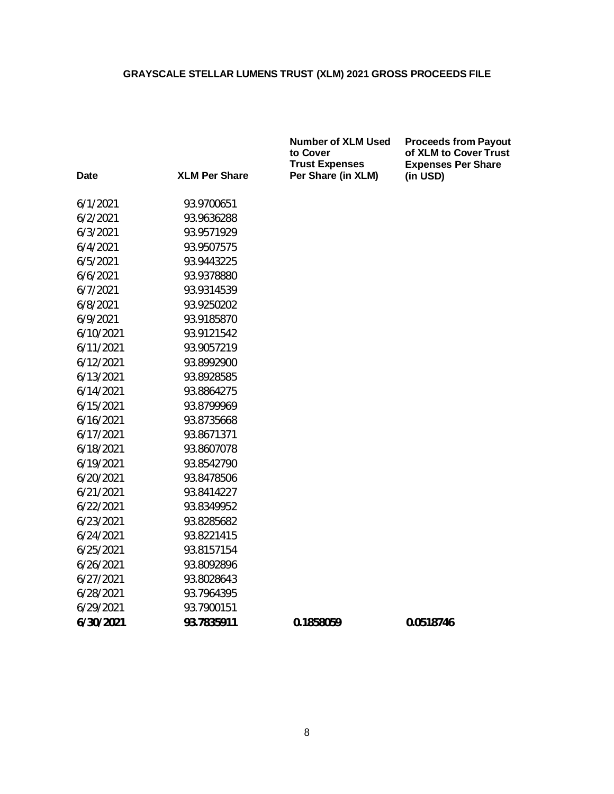|           |                      | <b>Number of XLM Used</b><br>to Cover<br><b>Trust Expenses</b> | <b>Proceeds from Payout</b><br>of XLM to Cover Trust<br><b>Expenses Per Share</b> |
|-----------|----------------------|----------------------------------------------------------------|-----------------------------------------------------------------------------------|
| Date      | <b>XLM Per Share</b> | Per Share (in XLM)                                             | (in USD)                                                                          |
| 6/1/2021  | 93.9700651           |                                                                |                                                                                   |
| 6/2/2021  | 93.9636288           |                                                                |                                                                                   |
| 6/3/2021  | 93.9571929           |                                                                |                                                                                   |
| 6/4/2021  | 93.9507575           |                                                                |                                                                                   |
| 6/5/2021  | 93.9443225           |                                                                |                                                                                   |
| 6/6/2021  | 93.9378880           |                                                                |                                                                                   |
| 6/7/2021  | 93.9314539           |                                                                |                                                                                   |
| 6/8/2021  | 93.9250202           |                                                                |                                                                                   |
| 6/9/2021  | 93.9185870           |                                                                |                                                                                   |
| 6/10/2021 | 93.9121542           |                                                                |                                                                                   |
| 6/11/2021 | 93.9057219           |                                                                |                                                                                   |
| 6/12/2021 | 93.8992900           |                                                                |                                                                                   |
| 6/13/2021 | 93.8928585           |                                                                |                                                                                   |
| 6/14/2021 | 93.8864275           |                                                                |                                                                                   |
| 6/15/2021 | 93.8799969           |                                                                |                                                                                   |
| 6/16/2021 | 93.8735668           |                                                                |                                                                                   |
| 6/17/2021 | 93.8671371           |                                                                |                                                                                   |
| 6/18/2021 | 93.8607078           |                                                                |                                                                                   |
| 6/19/2021 | 93.8542790           |                                                                |                                                                                   |
| 6/20/2021 | 93.8478506           |                                                                |                                                                                   |
| 6/21/2021 | 93.8414227           |                                                                |                                                                                   |
| 6/22/2021 | 93.8349952           |                                                                |                                                                                   |
| 6/23/2021 | 93.8285682           |                                                                |                                                                                   |
| 6/24/2021 | 93.8221415           |                                                                |                                                                                   |
| 6/25/2021 | 93.8157154           |                                                                |                                                                                   |
| 6/26/2021 | 93.8092896           |                                                                |                                                                                   |
| 6/27/2021 | 93.8028643           |                                                                |                                                                                   |
| 6/28/2021 | 93.7964395           |                                                                |                                                                                   |
| 6/29/2021 | 93.7900151           |                                                                |                                                                                   |
| 6/30/2021 | 93.7835911           | 0.1858059                                                      | 0.0518746                                                                         |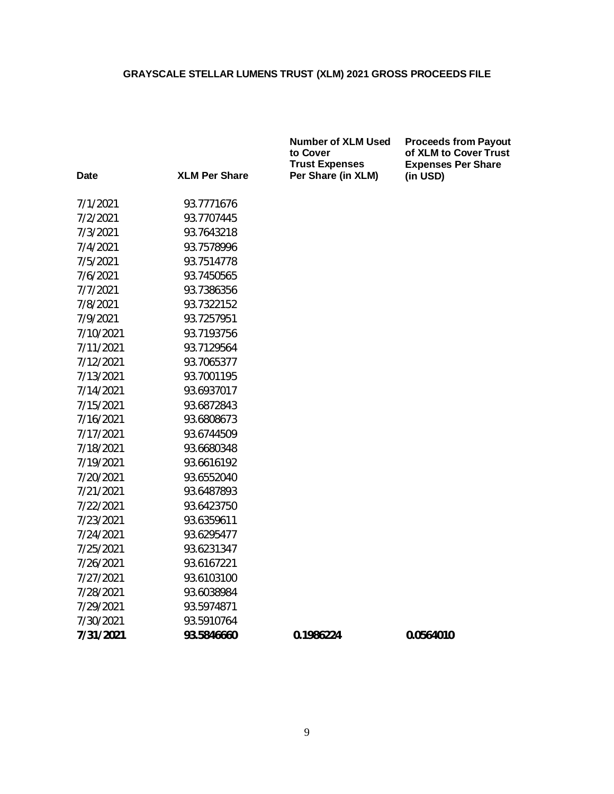| Date      | <b>XLM Per Share</b> | <b>Trust Expenses</b><br>Per Share (in XLM) | <b>Expenses</b><br>(in USD) |
|-----------|----------------------|---------------------------------------------|-----------------------------|
| 7/1/2021  | 93.7771676           |                                             |                             |
| 7/2/2021  | 93.7707445           |                                             |                             |
| 7/3/2021  | 93.7643218           |                                             |                             |
| 7/4/2021  | 93.7578996           |                                             |                             |
| 7/5/2021  | 93.7514778           |                                             |                             |
| 7/6/2021  | 93.7450565           |                                             |                             |
| 7/7/2021  | 93.7386356           |                                             |                             |
| 7/8/2021  | 93.7322152           |                                             |                             |
| 7/9/2021  | 93.7257951           |                                             |                             |
| 7/10/2021 | 93.7193756           |                                             |                             |
| 7/11/2021 | 93.7129564           |                                             |                             |
| 7/12/2021 | 93.7065377           |                                             |                             |
| 7/13/2021 | 93.7001195           |                                             |                             |
| 7/14/2021 | 93.6937017           |                                             |                             |
| 7/15/2021 | 93.6872843           |                                             |                             |
| 7/16/2021 | 93.6808673           |                                             |                             |
| 7/17/2021 | 93.6744509           |                                             |                             |
| 7/18/2021 | 93.6680348           |                                             |                             |
| 7/19/2021 | 93.6616192           |                                             |                             |
| 7/20/2021 | 93.6552040           |                                             |                             |
| 7/21/2021 | 93.6487893           |                                             |                             |
| 7/22/2021 | 93.6423750           |                                             |                             |
| 7/23/2021 | 93.6359611           |                                             |                             |
| 7/24/2021 | 93.6295477           |                                             |                             |
| 7/25/2021 | 93.6231347           |                                             |                             |
| 7/26/2021 | 93.6167221           |                                             |                             |
| 7/27/2021 | 93.6103100           |                                             |                             |
| 7/28/2021 | 93.6038984           |                                             |                             |
| 7/29/2021 | 93.5974871           |                                             |                             |
| 7/30/2021 | 93.5910764           |                                             |                             |
| 7/31/2021 | 93.5846660           | 0.1986224                                   | 0.0564010                   |

**Number of XLM Used to Cover Trust Expenses Per Share (in XLM)**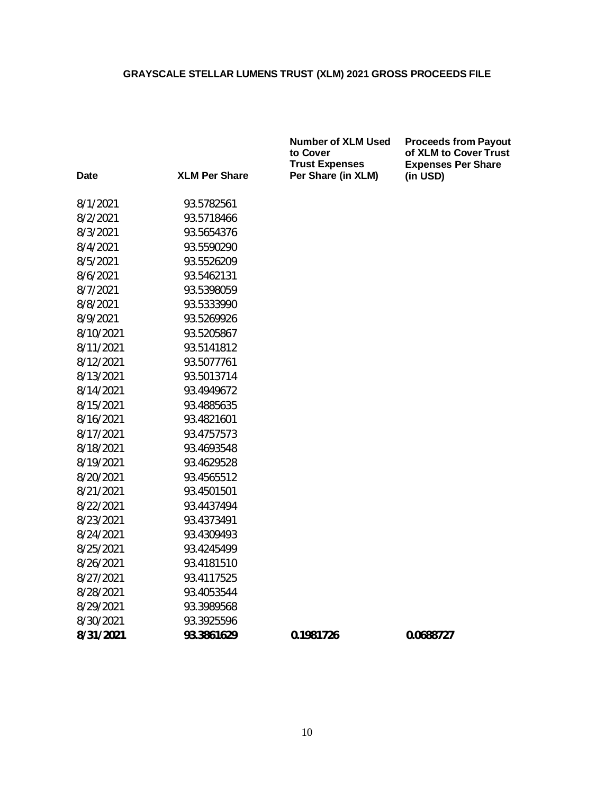| Date      | <b>XLM Per Share</b> | lu vuvel<br><b>Trust Expenses</b><br>Per Share (in XLM) | י טו ∧∟וווע<br><b>Expenses</b><br>(in USD) |
|-----------|----------------------|---------------------------------------------------------|--------------------------------------------|
| 8/1/2021  | 93.5782561           |                                                         |                                            |
| 8/2/2021  | 93.5718466           |                                                         |                                            |
| 8/3/2021  | 93.5654376           |                                                         |                                            |
| 8/4/2021  | 93.5590290           |                                                         |                                            |
| 8/5/2021  | 93.5526209           |                                                         |                                            |
| 8/6/2021  | 93.5462131           |                                                         |                                            |
| 8/7/2021  | 93.5398059           |                                                         |                                            |
| 8/8/2021  | 93.5333990           |                                                         |                                            |
| 8/9/2021  | 93.5269926           |                                                         |                                            |
| 8/10/2021 | 93.5205867           |                                                         |                                            |
| 8/11/2021 | 93.5141812           |                                                         |                                            |
| 8/12/2021 | 93.5077761           |                                                         |                                            |
| 8/13/2021 | 93.5013714           |                                                         |                                            |
| 8/14/2021 | 93.4949672           |                                                         |                                            |
| 8/15/2021 | 93.4885635           |                                                         |                                            |
| 8/16/2021 | 93.4821601           |                                                         |                                            |
| 8/17/2021 | 93.4757573           |                                                         |                                            |
| 8/18/2021 | 93.4693548           |                                                         |                                            |
| 8/19/2021 | 93.4629528           |                                                         |                                            |
| 8/20/2021 | 93.4565512           |                                                         |                                            |
| 8/21/2021 | 93.4501501           |                                                         |                                            |
| 8/22/2021 | 93.4437494           |                                                         |                                            |
| 8/23/2021 | 93.4373491           |                                                         |                                            |
| 8/24/2021 | 93.4309493           |                                                         |                                            |
| 8/25/2021 | 93.4245499           |                                                         |                                            |
| 8/26/2021 | 93.4181510           |                                                         |                                            |
| 8/27/2021 | 93.4117525           |                                                         |                                            |
| 8/28/2021 | 93.4053544           |                                                         |                                            |
| 8/29/2021 | 93.3989568           |                                                         |                                            |
| 8/30/2021 | 93.3925596           |                                                         |                                            |
| 8/31/2021 | 93.3861629           | 0.1981726                                               | 0.0688727                                  |

**Number of XLM Used to Cover Trust Expenses Per Share (in XLM)**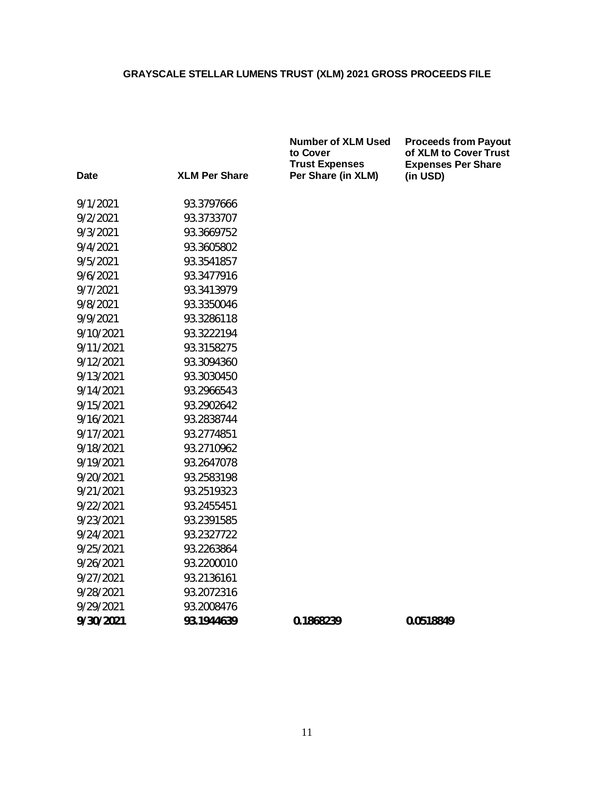|           |                      | <b>Number of XLM Used</b><br>to Cover<br><b>Trust Expenses</b> | <b>Proceeds from Payout</b><br>of XLM to Cover Trust<br><b>Expenses Per Share</b> |
|-----------|----------------------|----------------------------------------------------------------|-----------------------------------------------------------------------------------|
| Date      | <b>XLM Per Share</b> | Per Share (in XLM)                                             | (in USD)                                                                          |
| 9/1/2021  | 93.3797666           |                                                                |                                                                                   |
| 9/2/2021  | 93.3733707           |                                                                |                                                                                   |
| 9/3/2021  | 93.3669752           |                                                                |                                                                                   |
| 9/4/2021  | 93.3605802           |                                                                |                                                                                   |
| 9/5/2021  | 93.3541857           |                                                                |                                                                                   |
| 9/6/2021  | 93.3477916           |                                                                |                                                                                   |
| 9/7/2021  | 93.3413979           |                                                                |                                                                                   |
| 9/8/2021  | 93.3350046           |                                                                |                                                                                   |
| 9/9/2021  | 93.3286118           |                                                                |                                                                                   |
| 9/10/2021 | 93.3222194           |                                                                |                                                                                   |
| 9/11/2021 | 93.3158275           |                                                                |                                                                                   |
| 9/12/2021 | 93.3094360           |                                                                |                                                                                   |
| 9/13/2021 | 93.3030450           |                                                                |                                                                                   |
| 9/14/2021 | 93.2966543           |                                                                |                                                                                   |
| 9/15/2021 | 93.2902642           |                                                                |                                                                                   |
| 9/16/2021 | 93.2838744           |                                                                |                                                                                   |
| 9/17/2021 | 93.2774851           |                                                                |                                                                                   |
| 9/18/2021 | 93.2710962           |                                                                |                                                                                   |
| 9/19/2021 | 93.2647078           |                                                                |                                                                                   |
| 9/20/2021 | 93.2583198           |                                                                |                                                                                   |
| 9/21/2021 | 93.2519323           |                                                                |                                                                                   |
| 9/22/2021 | 93.2455451           |                                                                |                                                                                   |
| 9/23/2021 | 93.2391585           |                                                                |                                                                                   |
| 9/24/2021 | 93.2327722           |                                                                |                                                                                   |
| 9/25/2021 | 93.2263864           |                                                                |                                                                                   |
| 9/26/2021 | 93.2200010           |                                                                |                                                                                   |
| 9/27/2021 | 93.2136161           |                                                                |                                                                                   |
| 9/28/2021 | 93.2072316           |                                                                |                                                                                   |
| 9/29/2021 | 93.2008476           |                                                                |                                                                                   |
| 9/30/2021 | 93.1944639           | 0.1868239                                                      | 0.0518849                                                                         |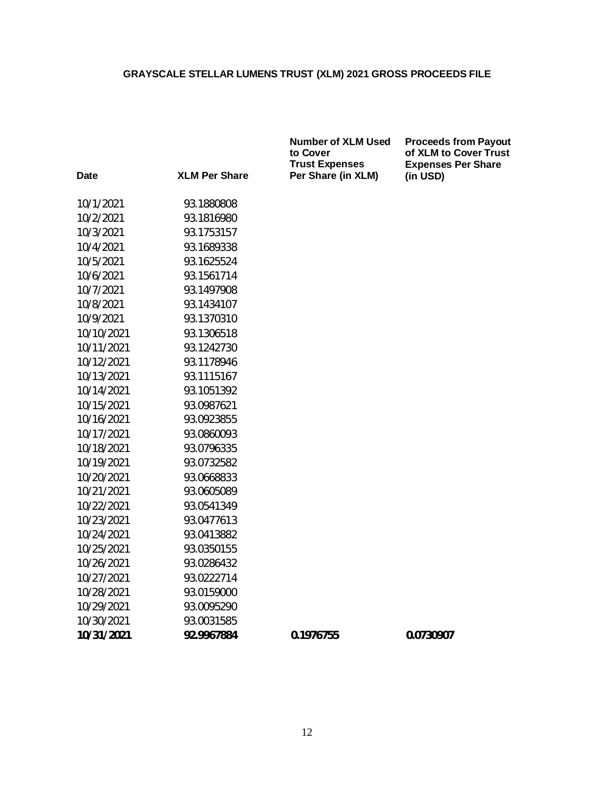| <b>Date</b> | <b>XLM Per Share</b> | <b>Trust Expenses</b><br>Per Share (in XLM) | <b>Expenses</b><br>(in USD) |
|-------------|----------------------|---------------------------------------------|-----------------------------|
| 10/1/2021   | 93.1880808           |                                             |                             |
| 10/2/2021   | 93.1816980           |                                             |                             |
| 10/3/2021   | 93.1753157           |                                             |                             |
| 10/4/2021   | 93.1689338           |                                             |                             |
| 10/5/2021   | 93.1625524           |                                             |                             |
| 10/6/2021   | 93.1561714           |                                             |                             |
| 10/7/2021   | 93.1497908           |                                             |                             |
| 10/8/2021   | 93.1434107           |                                             |                             |
| 10/9/2021   | 93.1370310           |                                             |                             |
| 10/10/2021  | 93.1306518           |                                             |                             |
| 10/11/2021  | 93.1242730           |                                             |                             |
| 10/12/2021  | 93.1178946           |                                             |                             |
| 10/13/2021  | 93.1115167           |                                             |                             |
| 10/14/2021  | 93.1051392           |                                             |                             |
| 10/15/2021  | 93.0987621           |                                             |                             |
| 10/16/2021  | 93.0923855           |                                             |                             |
| 10/17/2021  | 93.0860093           |                                             |                             |
| 10/18/2021  | 93.0796335           |                                             |                             |
| 10/19/2021  | 93.0732582           |                                             |                             |
| 10/20/2021  | 93.0668833           |                                             |                             |
| 10/21/2021  | 93.0605089           |                                             |                             |
| 10/22/2021  | 93.0541349           |                                             |                             |
| 10/23/2021  | 93.0477613           |                                             |                             |
| 10/24/2021  | 93.0413882           |                                             |                             |
| 10/25/2021  | 93.0350155           |                                             |                             |
| 10/26/2021  | 93.0286432           |                                             |                             |
| 10/27/2021  | 93.0222714           |                                             |                             |
| 10/28/2021  | 93.0159000           |                                             |                             |
| 10/29/2021  | 93.0095290           |                                             |                             |
| 10/30/2021  | 93.0031585           |                                             |                             |
| 10/31/2021  | 92.9967884           | 0.1976755                                   | 0.0730907                   |

**Number of XLM Used to Cover Trust Expenses Per Share (in XLM)**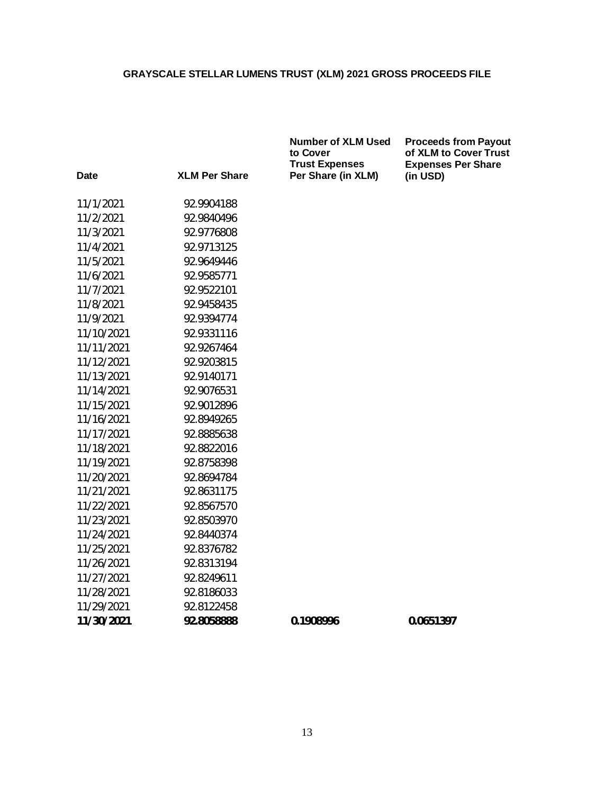**to Cover**

**Number of XLM Used**

**Proceeds from Payout of XLM to Cover Trust Expenses Per Share**

| Date       | <b>XLM Per Share</b> | ιυ σολει<br><b>Trust Expenses</b><br>Per Share (in XLM) | טו גבואו נט ק<br><b>Expenses F</b><br>(in USD) |
|------------|----------------------|---------------------------------------------------------|------------------------------------------------|
| 11/1/2021  | 92.9904188           |                                                         |                                                |
| 11/2/2021  | 92.9840496           |                                                         |                                                |
| 11/3/2021  | 92.9776808           |                                                         |                                                |
| 11/4/2021  | 92.9713125           |                                                         |                                                |
| 11/5/2021  | 92.9649446           |                                                         |                                                |
| 11/6/2021  | 92.9585771           |                                                         |                                                |
| 11/7/2021  | 92.9522101           |                                                         |                                                |
| 11/8/2021  | 92.9458435           |                                                         |                                                |
| 11/9/2021  | 92.9394774           |                                                         |                                                |
| 11/10/2021 | 92.9331116           |                                                         |                                                |
| 11/11/2021 | 92.9267464           |                                                         |                                                |
| 11/12/2021 | 92.9203815           |                                                         |                                                |
| 11/13/2021 | 92.9140171           |                                                         |                                                |
| 11/14/2021 | 92.9076531           |                                                         |                                                |
| 11/15/2021 | 92.9012896           |                                                         |                                                |
| 11/16/2021 | 92.8949265           |                                                         |                                                |
| 11/17/2021 | 92.8885638           |                                                         |                                                |
| 11/18/2021 | 92.8822016           |                                                         |                                                |
| 11/19/2021 | 92.8758398           |                                                         |                                                |
| 11/20/2021 | 92.8694784           |                                                         |                                                |
| 11/21/2021 | 92.8631175           |                                                         |                                                |
| 11/22/2021 | 92.8567570           |                                                         |                                                |
| 11/23/2021 | 92.8503970           |                                                         |                                                |
| 11/24/2021 | 92.8440374           |                                                         |                                                |
| 11/25/2021 | 92.8376782           |                                                         |                                                |
| 11/26/2021 | 92.8313194           |                                                         |                                                |
| 11/27/2021 | 92.8249611           |                                                         |                                                |
| 11/28/2021 | 92.8186033           |                                                         |                                                |
| 11/29/2021 | 92.8122458           |                                                         |                                                |
| 11/30/2021 | 92.8058888           | 0.1908996                                               | 0.0651397                                      |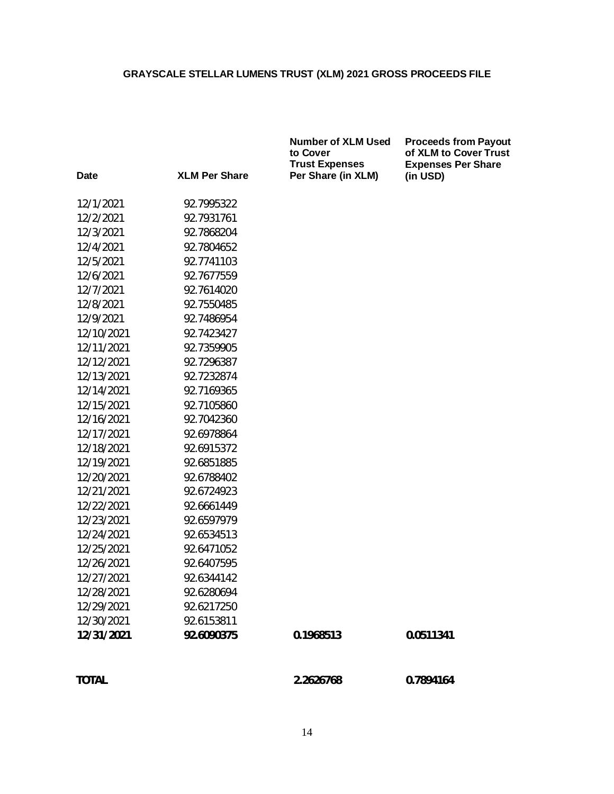|              |                      | <b>Number of XLM Used</b><br>to Cover<br><b>Trust Expenses</b> | <b>Proceeds from Payout</b><br>of XLM to Cover Trust<br><b>Expenses Per Share</b> |
|--------------|----------------------|----------------------------------------------------------------|-----------------------------------------------------------------------------------|
| Date         | <b>XLM Per Share</b> | Per Share (in XLM)                                             | (in USD)                                                                          |
| 12/1/2021    | 92.7995322           |                                                                |                                                                                   |
| 12/2/2021    | 92.7931761           |                                                                |                                                                                   |
| 12/3/2021    | 92.7868204           |                                                                |                                                                                   |
| 12/4/2021    | 92.7804652           |                                                                |                                                                                   |
| 12/5/2021    | 92.7741103           |                                                                |                                                                                   |
| 12/6/2021    | 92.7677559           |                                                                |                                                                                   |
| 12/7/2021    | 92.7614020           |                                                                |                                                                                   |
| 12/8/2021    | 92.7550485           |                                                                |                                                                                   |
| 12/9/2021    | 92.7486954           |                                                                |                                                                                   |
| 12/10/2021   | 92.7423427           |                                                                |                                                                                   |
| 12/11/2021   | 92.7359905           |                                                                |                                                                                   |
| 12/12/2021   | 92.7296387           |                                                                |                                                                                   |
| 12/13/2021   | 92.7232874           |                                                                |                                                                                   |
| 12/14/2021   | 92.7169365           |                                                                |                                                                                   |
| 12/15/2021   | 92.7105860           |                                                                |                                                                                   |
| 12/16/2021   | 92.7042360           |                                                                |                                                                                   |
| 12/17/2021   | 92.6978864           |                                                                |                                                                                   |
| 12/18/2021   | 92.6915372           |                                                                |                                                                                   |
| 12/19/2021   | 92.6851885           |                                                                |                                                                                   |
| 12/20/2021   | 92.6788402           |                                                                |                                                                                   |
| 12/21/2021   | 92.6724923           |                                                                |                                                                                   |
| 12/22/2021   | 92.6661449           |                                                                |                                                                                   |
| 12/23/2021   | 92.6597979           |                                                                |                                                                                   |
| 12/24/2021   | 92.6534513           |                                                                |                                                                                   |
| 12/25/2021   | 92.6471052           |                                                                |                                                                                   |
| 12/26/2021   | 92.6407595           |                                                                |                                                                                   |
| 12/27/2021   | 92.6344142           |                                                                |                                                                                   |
| 12/28/2021   | 92.6280694           |                                                                |                                                                                   |
| 12/29/2021   | 92.6217250           |                                                                |                                                                                   |
| 12/30/2021   | 92.6153811           |                                                                |                                                                                   |
| 12/31/2021   | 92.6090375           | 0.1968513                                                      | 0.0511341                                                                         |
| <b>TOTAL</b> |                      | 2.2626768                                                      | 0.7894164                                                                         |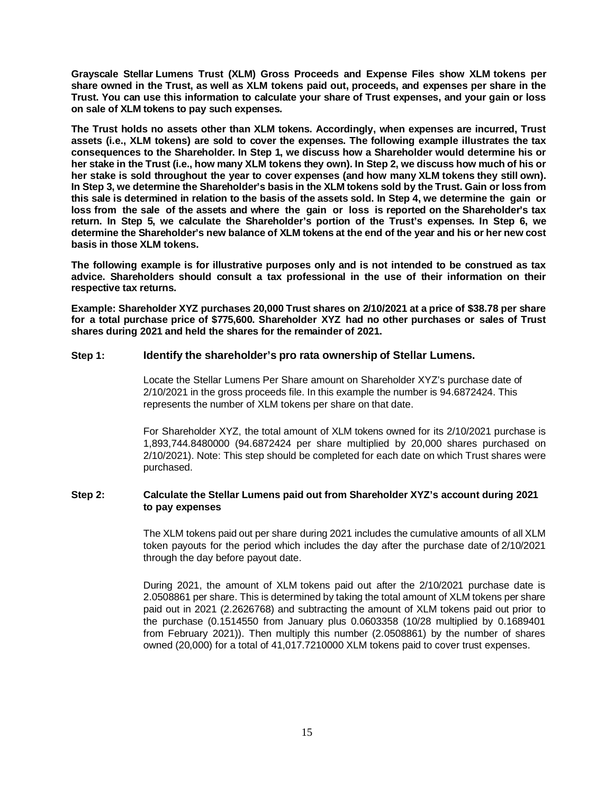**Grayscale Stellar Lumens Trust (XLM) Gross Proceeds and Expense Files show XLM tokens per share owned in the Trust, as well as XLM tokens paid out, proceeds, and expenses per share in the Trust. You can use this information to calculate your share of Trust expenses, and your gain or loss on sale of XLM tokens to pay such expenses.**

**The Trust holds no assets other than XLM tokens. Accordingly, when expenses are incurred, Trust assets (i.e., XLM tokens) are sold to cover the expenses. The following example illustrates the tax consequences to the Shareholder. In Step 1, we discuss how a Shareholder would determine his or her stake in the Trust (i.e., how many XLM tokens they own). In Step 2, we discuss how much of his or her stake is sold throughout the year to cover expenses (and how many XLM tokens they still own). In Step 3, we determine the Shareholder's basis in the XLM tokens sold by the Trust. Gain or loss from this sale is determined in relation to the basis of the assets sold. In Step 4, we determine the gain or loss from the sale of the assets and where the gain or loss is reported on the Shareholder's tax return. In Step 5, we calculate the Shareholder's portion of the Trust's expenses. In Step 6, we determine the Shareholder's new balance of XLM tokens at the end of the year and his or her new cost basis in those XLM tokens.**

**The following example is for illustrative purposes only and is not intended to be construed as tax advice. Shareholders should consult a tax professional in the use of their information on their respective tax returns.**

**Example: Shareholder XYZ purchases 20,000 Trust shares on 2/10/2021 at a price of \$38.78 per share for a total purchase price of \$775,600. Shareholder XYZ had no other purchases or sales of Trust shares during 2021 and held the shares for the remainder of 2021.**

#### **Step 1: Identify the shareholder's pro rata ownership of Stellar Lumens.**

Locate the Stellar Lumens Per Share amount on Shareholder XYZ's purchase date of 2/10/2021 in the gross proceeds file. In this example the number is 94.6872424. This represents the number of XLM tokens per share on that date.

For Shareholder XYZ, the total amount of XLM tokens owned for its 2/10/2021 purchase is 1,893,744.8480000 (94.6872424 per share multiplied by 20,000 shares purchased on 2/10/2021). Note: This step should be completed for each date on which Trust shares were purchased.

#### **Step 2: Calculate the Stellar Lumens paid out from Shareholder XYZ's account during 2021 to pay expenses**

The XLM tokens paid out per share during 2021 includes the cumulative amounts of all XLM token payouts for the period which includes the day after the purchase date of 2/10/2021 through the day before payout date.

During 2021, the amount of XLM tokens paid out after the 2/10/2021 purchase date is 2.0508861 per share. This is determined by taking the total amount of XLM tokens per share paid out in 2021 (2.2626768) and subtracting the amount of XLM tokens paid out prior to the purchase (0.1514550 from January plus 0.0603358 (10/28 multiplied by 0.1689401 from February 2021)). Then multiply this number (2.0508861) by the number of shares owned (20,000) for a total of 41,017.7210000 XLM tokens paid to cover trust expenses.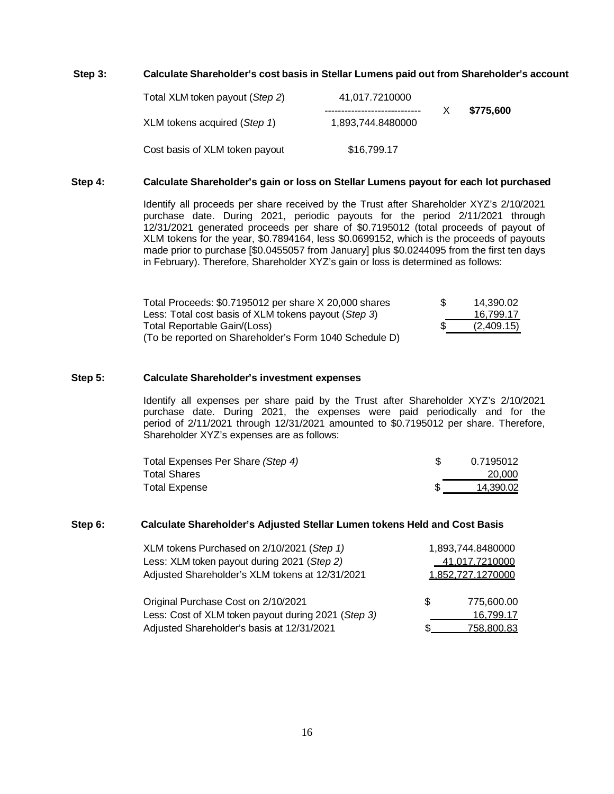#### **Step 3: Calculate Shareholder's cost basis in Stellar Lumens paid out from Shareholder's account**

| Total XLM token payout (Step 2) | 41,017.7210000    |           |
|---------------------------------|-------------------|-----------|
| XLM tokens acquired (Step 1)    | 1.893.744.8480000 | \$775.600 |
| Cost basis of XLM token payout  | \$16,799.17       |           |

#### **Step 4: Calculate Shareholder's gain or loss on Stellar Lumens payout for each lot purchased**

Identify all proceeds per share received by the Trust after Shareholder XYZ's 2/10/2021 purchase date. During 2021, periodic payouts for the period 2/11/2021 through 12/31/2021 generated proceeds per share of \$0.7195012 (total proceeds of payout of XLM tokens for the year, \$0.7894164, less \$0.0699152, which is the proceeds of payouts made prior to purchase [\$0.0455057 from January] plus \$0.0244095 from the first ten days in February). Therefore, Shareholder XYZ's gain or loss is determined as follows:

| Total Proceeds: \$0.7195012 per share X 20,000 shares  | \$. | 14.390.02  |
|--------------------------------------------------------|-----|------------|
| Less: Total cost basis of XLM tokens payout (Step 3)   |     | 16.799.17  |
| Total Reportable Gain/(Loss)                           |     | (2,409.15) |
| (To be reported on Shareholder's Form 1040 Schedule D) |     |            |

#### **Step 5: Calculate Shareholder's investment expenses**

Identify all expenses per share paid by the Trust after Shareholder XYZ's 2/10/2021 purchase date. During 2021, the expenses were paid periodically and for the period of 2/11/2021 through 12/31/2021 amounted to \$0.7195012 per share. Therefore, Shareholder XYZ's expenses are as follows:

| Total Expenses Per Share (Step 4) | 0.7195012 |
|-----------------------------------|-----------|
| <b>Total Shares</b>               | 20,000    |
| <b>Total Expense</b>              | 14.390.02 |

#### **Step 6: Calculate Shareholder's Adjusted Stellar Lumen tokens Held and Cost Basis**

| XLM tokens Purchased on 2/10/2021 (Step 1)          |                   | 1,893,744.8480000 |
|-----------------------------------------------------|-------------------|-------------------|
| Less: XLM token payout during 2021 (Step 2)         |                   | 41,017.7210000    |
| Adjusted Shareholder's XLM tokens at 12/31/2021     | 1.852.727.1270000 |                   |
| Original Purchase Cost on 2/10/2021                 | \$.               | 775.600.00        |
| Less: Cost of XLM token payout during 2021 (Step 3) |                   | 16.799.17         |
| Adjusted Shareholder's basis at 12/31/2021          |                   | <u>758,800.83</u> |